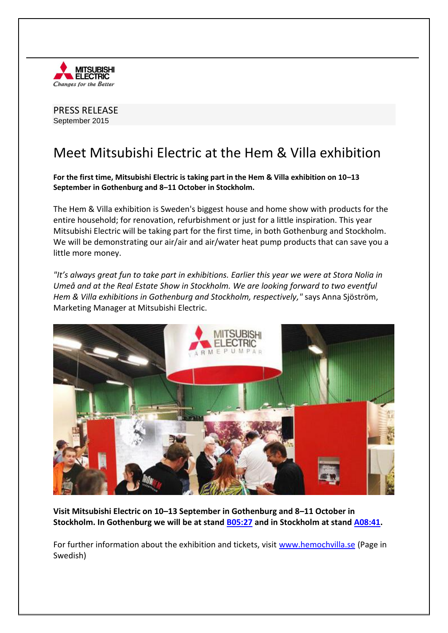

PRESS RELEASE September 2015

## Meet Mitsubishi Electric at the Hem & Villa exhibition

**For the first time, Mitsubishi Electric is taking part in the Hem & Villa exhibition on 10–13 September in Gothenburg and 8–11 October in Stockholm.**

The Hem & Villa exhibition is Sweden's biggest house and home show with products for the entire household; for renovation, refurbishment or just for a little inspiration. This year Mitsubishi Electric will be taking part for the first time, in both Gothenburg and Stockholm. We will be demonstrating our air/air and air/water heat pump products that can save you a little more money.

*"It's always great fun to take part in exhibitions. Earlier this year we were at Stora Nolia in Umeå and at the Real Estate Show in Stockholm. We are looking forward to two eventful Hem & Villa exhibitions in Gothenburg and Stockholm, respectively,"* says Anna Sjöström, Marketing Manager at Mitsubishi Electric.



**Visit Mitsubishi Electric on 10–13 September in Gothenburg and 8–11 October in Stockholm. In Gothenburg we will be at stand [B05:27](http://goteborg.hemochvilla.se/utstallare/50447) and in Stockholm at stand [A08:41.](http://stockholm.hemochvilla.se/utstallare/50565)**

For further information about the exhibition and tickets, visit [www.hemochvilla.se](http://www.hemochvilla.se/) (Page in Swedish)